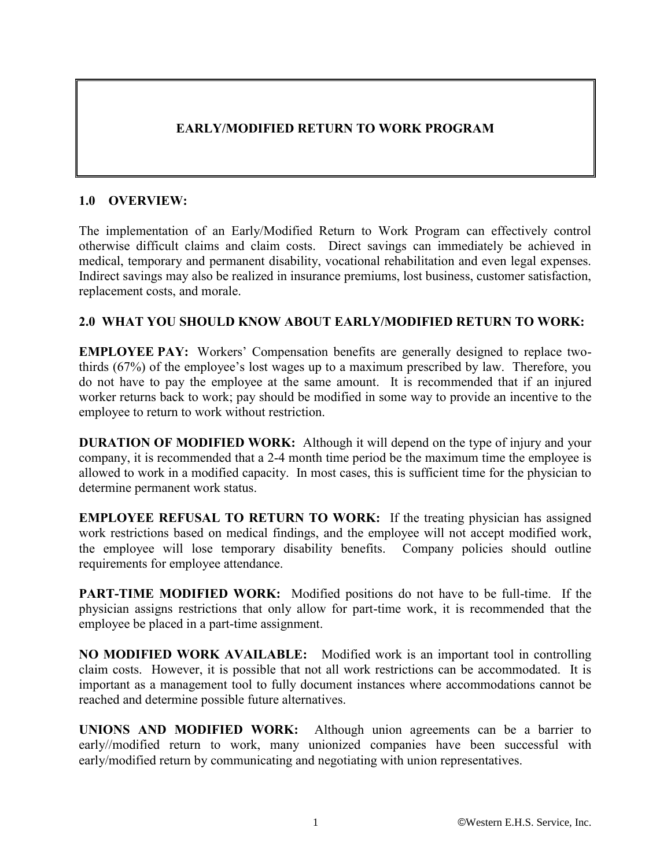## **EARLY/MODIFIED RETURN TO WORK PROGRAM**

#### **1.0 OVERVIEW:**

The implementation of an Early/Modified Return to Work Program can effectively control otherwise difficult claims and claim costs. Direct savings can immediately be achieved in medical, temporary and permanent disability, vocational rehabilitation and even legal expenses. Indirect savings may also be realized in insurance premiums, lost business, customer satisfaction, replacement costs, and morale.

#### **2.0 WHAT YOU SHOULD KNOW ABOUT EARLY/MODIFIED RETURN TO WORK:**

**EMPLOYEE PAY:** Workers' Compensation benefits are generally designed to replace twothirds (67%) of the employee's lost wages up to a maximum prescribed by law. Therefore, you do not have to pay the employee at the same amount. It is recommended that if an injured worker returns back to work; pay should be modified in some way to provide an incentive to the employee to return to work without restriction.

**DURATION OF MODIFIED WORK:** Although it will depend on the type of injury and your company, it is recommended that a 2-4 month time period be the maximum time the employee is allowed to work in a modified capacity. In most cases, this is sufficient time for the physician to determine permanent work status.

**EMPLOYEE REFUSAL TO RETURN TO WORK:** If the treating physician has assigned work restrictions based on medical findings, and the employee will not accept modified work, the employee will lose temporary disability benefits. Company policies should outline requirements for employee attendance.

**PART-TIME MODIFIED WORK:** Modified positions do not have to be full-time. If the physician assigns restrictions that only allow for part-time work, it is recommended that the employee be placed in a part-time assignment.

**NO MODIFIED WORK AVAILABLE:** Modified work is an important tool in controlling claim costs. However, it is possible that not all work restrictions can be accommodated. It is important as a management tool to fully document instances where accommodations cannot be reached and determine possible future alternatives.

**UNIONS AND MODIFIED WORK:** Although union agreements can be a barrier to early//modified return to work, many unionized companies have been successful with early/modified return by communicating and negotiating with union representatives.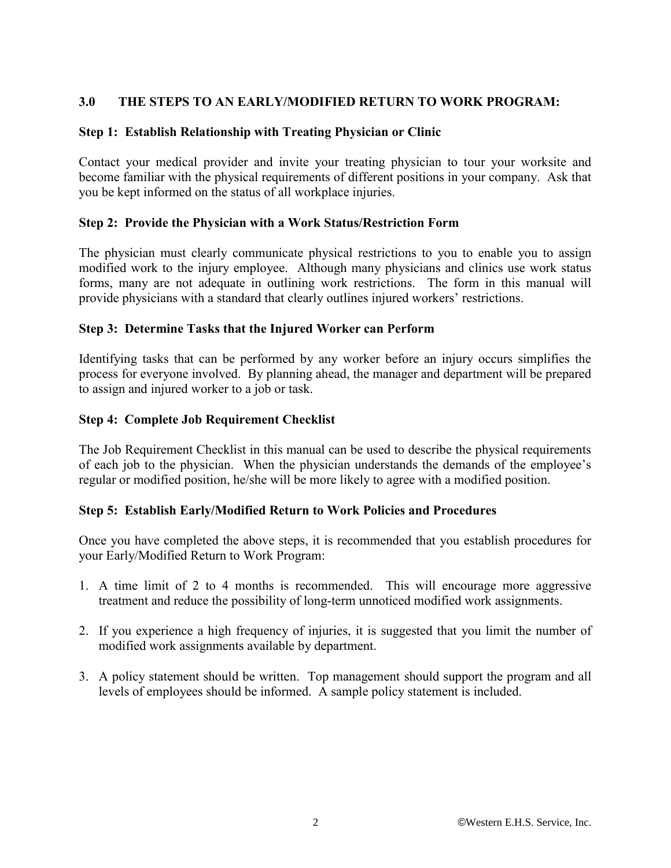#### **3.0 THE STEPS TO AN EARLY/MODIFIED RETURN TO WORK PROGRAM:**

#### **Step 1: Establish Relationship with Treating Physician or Clinic**

Contact your medical provider and invite your treating physician to tour your worksite and become familiar with the physical requirements of different positions in your company. Ask that you be kept informed on the status of all workplace injuries.

#### **Step 2: Provide the Physician with a Work Status/Restriction Form**

The physician must clearly communicate physical restrictions to you to enable you to assign modified work to the injury employee. Although many physicians and clinics use work status forms, many are not adequate in outlining work restrictions. The form in this manual will provide physicians with a standard that clearly outlines injured workers' restrictions.

#### **Step 3: Determine Tasks that the Injured Worker can Perform**

Identifying tasks that can be performed by any worker before an injury occurs simplifies the process for everyone involved. By planning ahead, the manager and department will be prepared to assign and injured worker to a job or task.

#### **Step 4: Complete Job Requirement Checklist**

The Job Requirement Checklist in this manual can be used to describe the physical requirements of each job to the physician. When the physician understands the demands of the employee's regular or modified position, he/she will be more likely to agree with a modified position.

#### **Step 5: Establish Early/Modified Return to Work Policies and Procedures**

Once you have completed the above steps, it is recommended that you establish procedures for your Early/Modified Return to Work Program:

- 1. A time limit of 2 to 4 months is recommended. This will encourage more aggressive treatment and reduce the possibility of long-term unnoticed modified work assignments.
- 2. If you experience a high frequency of injuries, it is suggested that you limit the number of modified work assignments available by department.
- 3. A policy statement should be written. Top management should support the program and all levels of employees should be informed. A sample policy statement is included.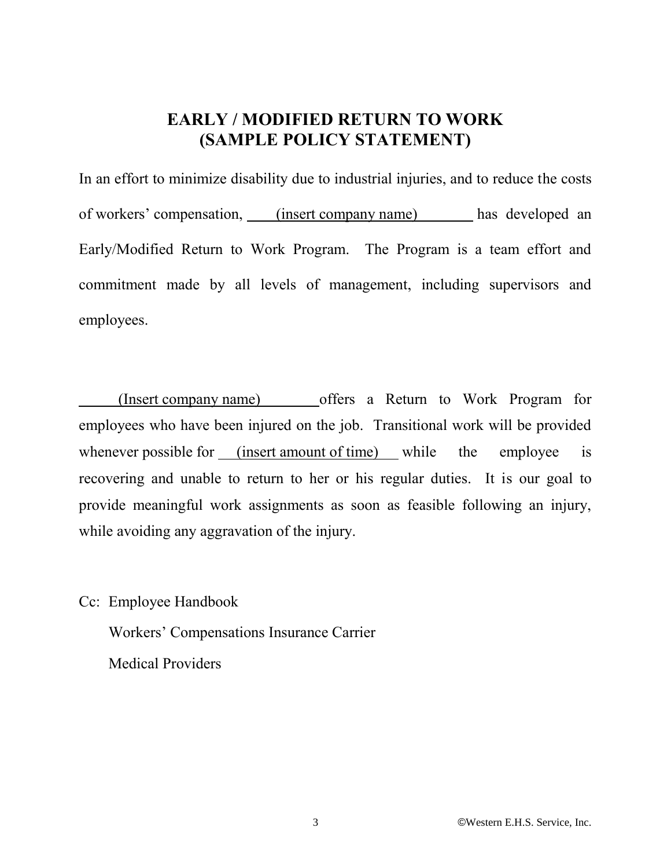# **EARLY / MODIFIED RETURN TO WORK (SAMPLE POLICY STATEMENT)**

In an effort to minimize disability due to industrial injuries, and to reduce the costs of workers' compensation, (insert company name) has developed an Early/Modified Return to Work Program. The Program is a team effort and commitment made by all levels of management, including supervisors and employees.

(Insert company name) offers a Return to Work Program for employees who have been injured on the job. Transitional work will be provided whenever possible for (insert amount of time) while the employee is recovering and unable to return to her or his regular duties. It is our goal to provide meaningful work assignments as soon as feasible following an injury, while avoiding any aggravation of the injury.

Cc: Employee Handbook

Workers' Compensations Insurance Carrier Medical Providers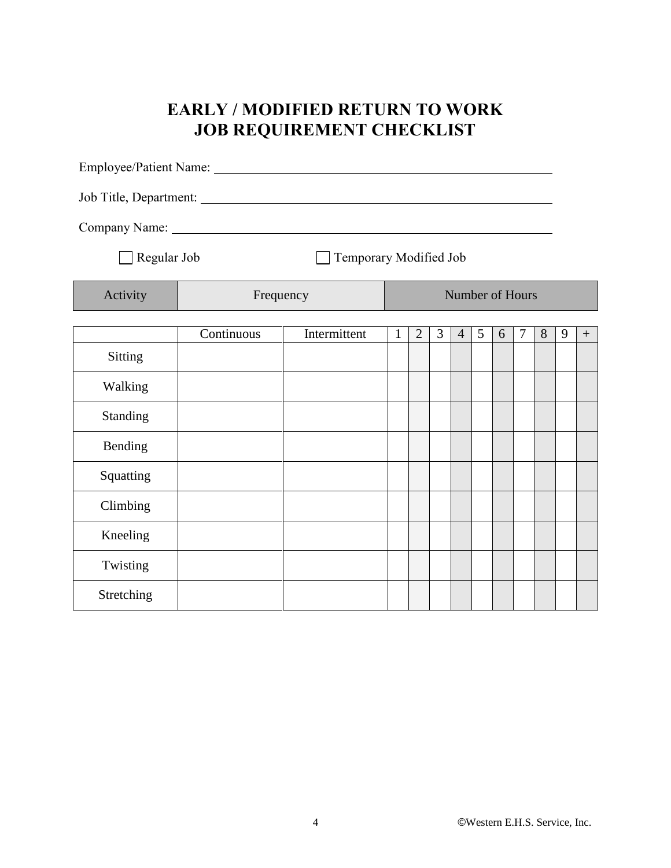# **EARLY / MODIFIED RETURN TO WORK JOB REQUIREMENT CHECKLIST**

| Regular Job<br>Temporary Modified Job |            |              |                 |                |                |                |   |   |                |   |   |        |
|---------------------------------------|------------|--------------|-----------------|----------------|----------------|----------------|---|---|----------------|---|---|--------|
| Activity                              | Frequency  |              | Number of Hours |                |                |                |   |   |                |   |   |        |
|                                       | Continuous | Intermittent | $\mathbf{1}$    | $\overline{2}$ | $\overline{3}$ | $\overline{4}$ | 5 | 6 | $\overline{7}$ | 8 | 9 | $^{+}$ |
| <b>Sitting</b>                        |            |              |                 |                |                |                |   |   |                |   |   |        |
| Walking                               |            |              |                 |                |                |                |   |   |                |   |   |        |
| Standing                              |            |              |                 |                |                |                |   |   |                |   |   |        |
| Bending                               |            |              |                 |                |                |                |   |   |                |   |   |        |
| Squatting                             |            |              |                 |                |                |                |   |   |                |   |   |        |
| Climbing                              |            |              |                 |                |                |                |   |   |                |   |   |        |
| Kneeling                              |            |              |                 |                |                |                |   |   |                |   |   |        |
| Twisting                              |            |              |                 |                |                |                |   |   |                |   |   |        |
| Stretching                            |            |              |                 |                |                |                |   |   |                |   |   |        |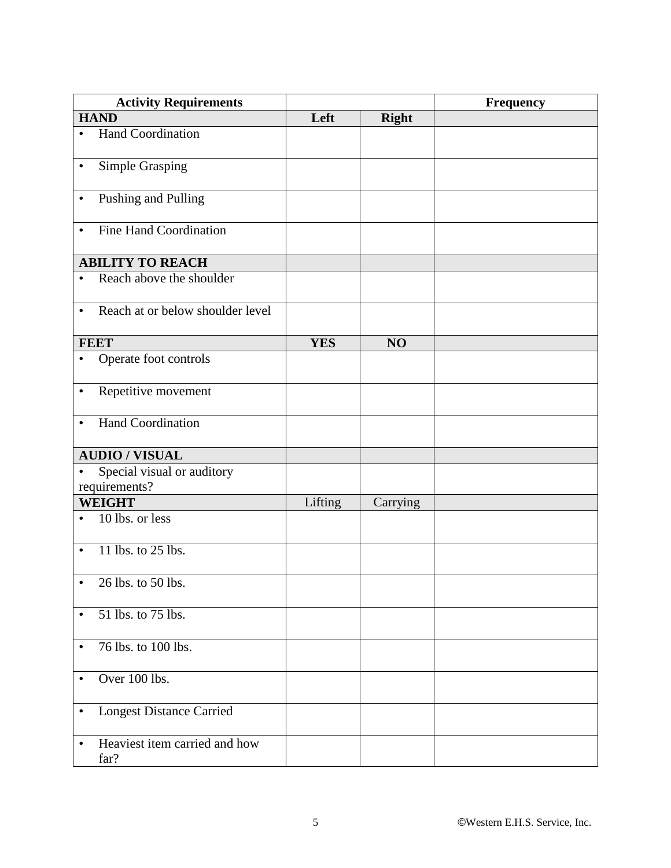| <b>Activity Requirements</b>                             |            |              | <b>Frequency</b> |
|----------------------------------------------------------|------------|--------------|------------------|
| <b>HAND</b>                                              | Left       | <b>Right</b> |                  |
| Hand Coordination<br>$\bullet$                           |            |              |                  |
| Simple Grasping<br>$\bullet$                             |            |              |                  |
| Pushing and Pulling<br>$\bullet$                         |            |              |                  |
| Fine Hand Coordination<br>$\bullet$                      |            |              |                  |
| <b>ABILITY TO REACH</b>                                  |            |              |                  |
| Reach above the shoulder<br>$\bullet$                    |            |              |                  |
| Reach at or below shoulder level<br>$\bullet$            |            |              |                  |
| <b>FEET</b>                                              | <b>YES</b> | NO           |                  |
| Operate foot controls<br>$\bullet$                       |            |              |                  |
| Repetitive movement<br>$\bullet$                         |            |              |                  |
| <b>Hand Coordination</b><br>$\bullet$                    |            |              |                  |
| <b>AUDIO / VISUAL</b>                                    |            |              |                  |
| Special visual or auditory<br>$\bullet$<br>requirements? |            |              |                  |
| <b>WEIGHT</b>                                            | Lifting    | Carrying     |                  |
| 10 lbs. or less<br>$\bullet$                             |            |              |                  |
| 11 lbs. to 25 lbs.<br>$\bullet$                          |            |              |                  |
| 26 lbs. to 50 lbs.<br>$\bullet$                          |            |              |                  |
| 51 lbs. to 75 lbs.<br>$\bullet$                          |            |              |                  |
| 76 lbs. to 100 lbs.<br>$\bullet$                         |            |              |                  |
| Over 100 lbs.<br>$\bullet$                               |            |              |                  |
| <b>Longest Distance Carried</b><br>$\bullet$             |            |              |                  |
| Heaviest item carried and how<br>$\bullet$<br>far?       |            |              |                  |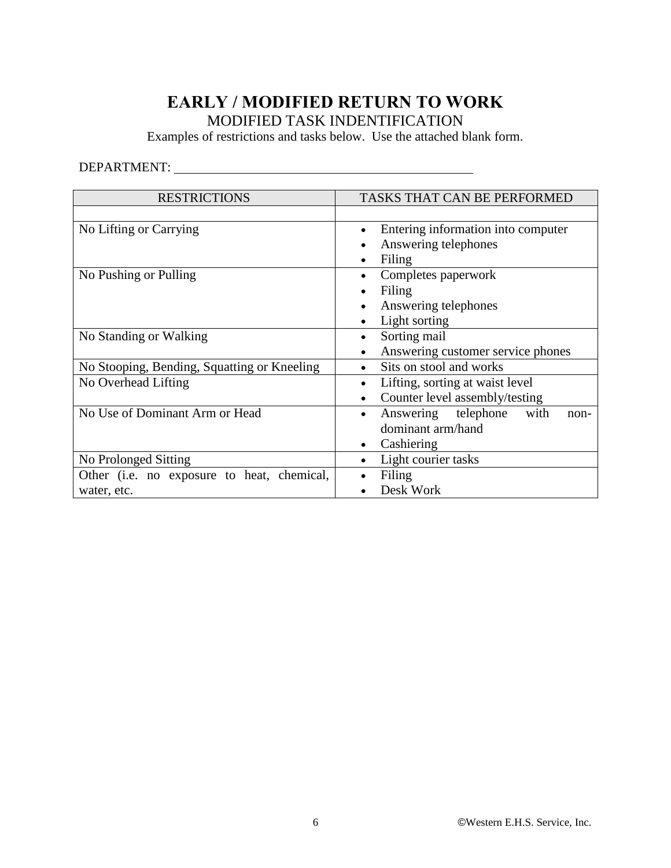## **EARLY / MODIFIED RETURN TO WORK** MODIFIED TASK INDENTIFICATION

Examples of restrictions and tasks below. Use the attached blank form.

## DEPARTMENT:

| <b>RESTRICTIONS</b>                         | <b>TASKS THAT CAN BE PERFORMED</b>             |  |  |  |  |  |
|---------------------------------------------|------------------------------------------------|--|--|--|--|--|
|                                             |                                                |  |  |  |  |  |
| No Lifting or Carrying                      | Entering information into computer<br>٠        |  |  |  |  |  |
|                                             | Answering telephones                           |  |  |  |  |  |
|                                             | Filing<br>٠                                    |  |  |  |  |  |
| No Pushing or Pulling                       | Completes paperwork                            |  |  |  |  |  |
|                                             | Filing                                         |  |  |  |  |  |
|                                             | Answering telephones<br>$\bullet$              |  |  |  |  |  |
|                                             | Light sorting<br>٠                             |  |  |  |  |  |
| No Standing or Walking                      | Sorting mail<br>$\bullet$                      |  |  |  |  |  |
|                                             | Answering customer service phones<br>$\bullet$ |  |  |  |  |  |
| No Stooping, Bending, Squatting or Kneeling | Sits on stool and works                        |  |  |  |  |  |
| No Overhead Lifting                         | Lifting, sorting at waist level<br>$\bullet$   |  |  |  |  |  |
|                                             | Counter level assembly/testing<br>$\bullet$    |  |  |  |  |  |
| No Use of Dominant Arm or Head              | Answering telephone with<br>non-<br>$\bullet$  |  |  |  |  |  |
|                                             | dominant arm/hand                              |  |  |  |  |  |
|                                             | Cashiering<br>٠                                |  |  |  |  |  |
| No Prolonged Sitting                        | Light courier tasks<br>٠                       |  |  |  |  |  |
| Other (i.e. no exposure to heat, chemical,  | Filing                                         |  |  |  |  |  |
| water, etc.                                 | Desk Work                                      |  |  |  |  |  |